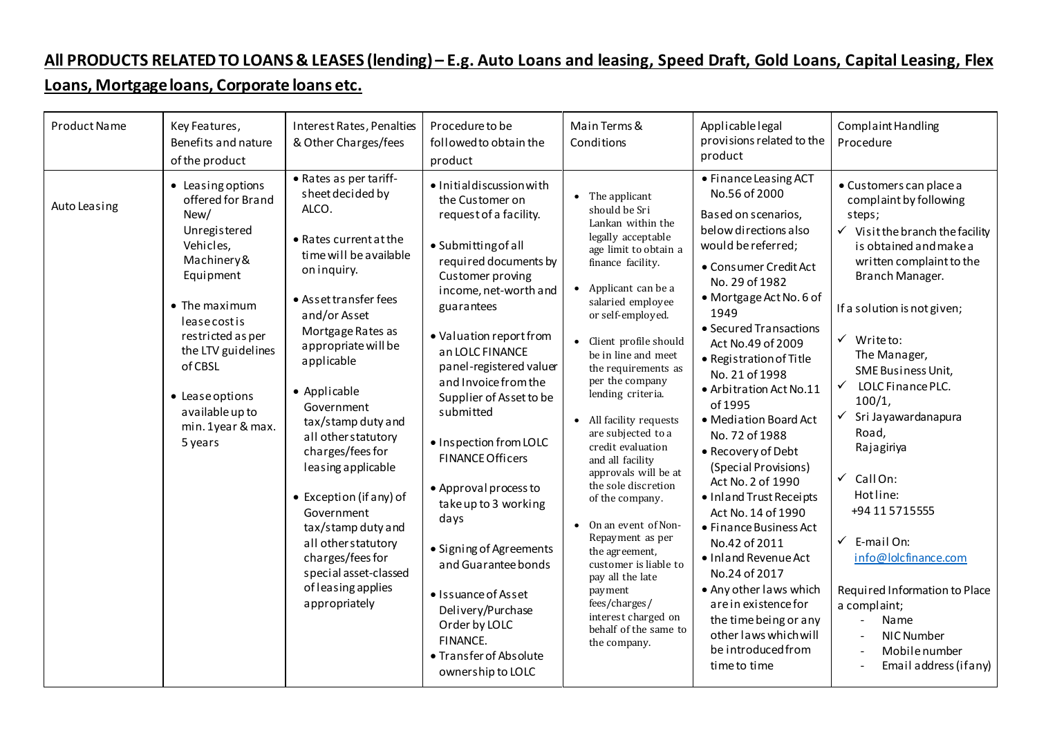## **All PRODUCTS RELATED TO LOANS & LEASES (lending) – E.g. Auto Loans and leasing, Speed Draft, Gold Loans, Capital Leasing, Flex**

## **Loans, Mortgage loans, Corporate loans etc.**

| Product Name | Key Features,<br>Benefits and nature<br>of the product                                                                                                                                                                                                                | Interest Rates, Penalties<br>& Other Charges/fees                                                                                                                                                                                                                                                                                                                                                                                                                                                                        | Procedure to be<br>followed to obtain the<br>product                                                                                                                                                                                                                                                                                                                                                                                                                                                                                                                                                               | Main Terms &<br>Conditions                                                                                                                                                                                                                                                                                                                                                                                                                                                                                                                                                                                                                                                   | Applicable legal<br>provisions related to the<br>product                                                                                                                                                                                                                                                                                                                                                                                                                                                                                                                                                                                                                                                                  | <b>Complaint Handling</b><br>Procedure                                                                                                                                                                                                                                                                                                                                                                                                                                                                                                                                                                         |
|--------------|-----------------------------------------------------------------------------------------------------------------------------------------------------------------------------------------------------------------------------------------------------------------------|--------------------------------------------------------------------------------------------------------------------------------------------------------------------------------------------------------------------------------------------------------------------------------------------------------------------------------------------------------------------------------------------------------------------------------------------------------------------------------------------------------------------------|--------------------------------------------------------------------------------------------------------------------------------------------------------------------------------------------------------------------------------------------------------------------------------------------------------------------------------------------------------------------------------------------------------------------------------------------------------------------------------------------------------------------------------------------------------------------------------------------------------------------|------------------------------------------------------------------------------------------------------------------------------------------------------------------------------------------------------------------------------------------------------------------------------------------------------------------------------------------------------------------------------------------------------------------------------------------------------------------------------------------------------------------------------------------------------------------------------------------------------------------------------------------------------------------------------|---------------------------------------------------------------------------------------------------------------------------------------------------------------------------------------------------------------------------------------------------------------------------------------------------------------------------------------------------------------------------------------------------------------------------------------------------------------------------------------------------------------------------------------------------------------------------------------------------------------------------------------------------------------------------------------------------------------------------|----------------------------------------------------------------------------------------------------------------------------------------------------------------------------------------------------------------------------------------------------------------------------------------------------------------------------------------------------------------------------------------------------------------------------------------------------------------------------------------------------------------------------------------------------------------------------------------------------------------|
| Auto Leasing | • Leasing options<br>offered for Brand<br>New/<br>Unregistered<br>Vehicles,<br>Machinery &<br>Equipment<br>• The maximum<br>lease cost is<br>restricted as per<br>the LTV guidelines<br>of CBSL<br>• Lease options<br>available up to<br>min. 1year & max.<br>5 years | • Rates as per tariff-<br>sheet decided by<br>ALCO.<br>• Rates current at the<br>time will be available<br>on inquiry.<br>• Asset transfer fees<br>and/or Asset<br>Mortgage Rates as<br>appropriate will be<br>applicable<br>• Applicable<br>Government<br>tax/stamp duty and<br>all other statutory<br>charges/fees for<br>leasing applicable<br>• Exception (if any) of<br>Government<br>tax/stamp duty and<br>all other statutory<br>charges/fees for<br>special asset-classed<br>of leasing applies<br>appropriately | · Initial discussion with<br>the Customer on<br>request of a facility.<br>· Submitting of all<br>required documents by<br>Customer proving<br>income, net-worth and<br>guarantees<br>• Valuation report from<br>an LOLC FINANCE<br>panel-registered valuer<br>and Invoice from the<br>Supplier of Asset to be<br>submitted<br>• Inspection from LOLC<br><b>FINANCE Officers</b><br>• Approval process to<br>take up to 3 working<br>days<br>· Signing of Agreements<br>and Guarantee bonds<br>• Issuance of Asset<br>Delivery/Purchase<br>Order by LOLC<br>FINANCE.<br>• Transfer of Absolute<br>ownership to LOLC | • The applicant<br>should be Sri<br>Lankan within the<br>legally acceptable<br>age limit to obtain a<br>finance facility.<br>Applicant can be a<br>salaried employee<br>or self-employed.<br>• Client profile should<br>be in line and meet<br>the requirements as<br>per the company<br>lending criteria.<br>• All facility requests<br>are subjected to a<br>credit evaluation<br>and all facility<br>approvals will be at<br>the sole discretion<br>of the company.<br>On an event of Non-<br>Repayment as per<br>the agreement,<br>customer is liable to<br>pay all the late<br>payment<br>fees/charges/<br>interest charged on<br>behalf of the same to<br>the company. | • Finance Leasing ACT<br>No.56 of 2000<br>Based on scenarios,<br>below directions also<br>would be referred;<br>• Consumer Credit Act<br>No. 29 of 1982<br>• Mortgage Act No. 6 of<br>1949<br>• Secured Transactions<br>Act No.49 of 2009<br>• Registration of Title<br>No. 21 of 1998<br>• Arbitration Act No.11<br>of 1995<br>• Mediation Board Act<br>No. 72 of 1988<br>• Recovery of Debt<br>(Special Provisions)<br>Act No. 2 of 1990<br>• Inland Trust Receipts<br>Act No. 14 of 1990<br>• Finance Business Act<br>No.42 of 2011<br>· Inland Revenue Act<br>No.24 of 2017<br>• Any other laws which<br>are in existence for<br>the time being or any<br>other laws which will<br>be introduced from<br>time to time | • Customers can place a<br>complaint by following<br>steps;<br>$\checkmark$ Visit the branch the facility<br>is obtained and make a<br>written complaint to the<br>Branch Manager.<br>If a solution is not given;<br>$\checkmark$ Writeto:<br>The Manager,<br>SME Business Unit,<br>$\checkmark$<br>LOLC Finance PLC.<br>100/1,<br>✓<br>Sri Jayawardanapura<br>Road,<br>Rajagiriya<br>$\checkmark$ Call On:<br>Hotline:<br>+94 11 5715555<br>$\checkmark$ E-mail On:<br>info@lolcfinance.com<br>Required Information to Place<br>a complaint;<br>Name<br>NIC Number<br>Mobile number<br>Email address (if any) |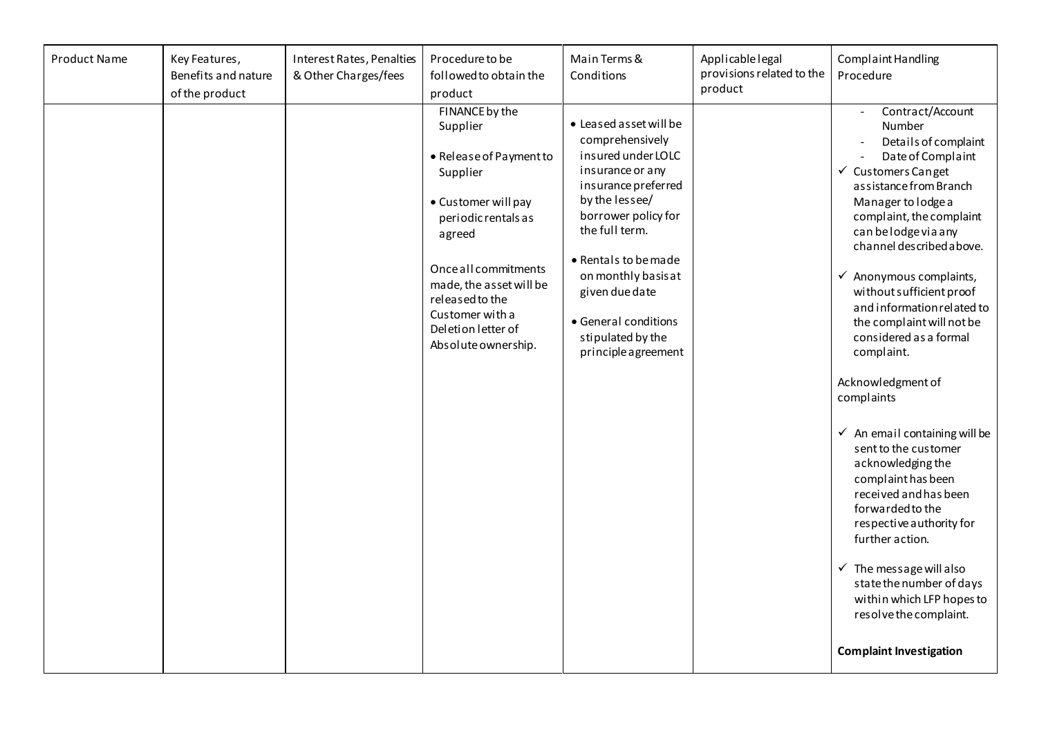| Product Name | Key Features,<br>Benefits and nature<br>of the product | Interest Rates, Penalties<br>& Other Charges/fees | Procedure to be<br>followed to obtain the<br>product                                                                                                                                                                                                            | Main Terms &<br>Conditions                                                                                                                                                                                                                                                                                 | Applicable legal<br>provisions related to the<br>product | <b>Complaint Handling</b><br>Procedure                                                                                                                                                                                                                                                                                                                                                                                                                                                                                                                                                                                                                                                                                                                                                                                        |
|--------------|--------------------------------------------------------|---------------------------------------------------|-----------------------------------------------------------------------------------------------------------------------------------------------------------------------------------------------------------------------------------------------------------------|------------------------------------------------------------------------------------------------------------------------------------------------------------------------------------------------------------------------------------------------------------------------------------------------------------|----------------------------------------------------------|-------------------------------------------------------------------------------------------------------------------------------------------------------------------------------------------------------------------------------------------------------------------------------------------------------------------------------------------------------------------------------------------------------------------------------------------------------------------------------------------------------------------------------------------------------------------------------------------------------------------------------------------------------------------------------------------------------------------------------------------------------------------------------------------------------------------------------|
|              |                                                        |                                                   | FINANCE by the<br>Supplier<br>• Release of Payment to<br>Supplier<br>• Customer will pay<br>periodic rentals as<br>agreed<br>Once all commitments<br>made, the asset will be<br>released to the<br>Customer with a<br>Deletion letter of<br>Absolute ownership. | • Leased asset will be<br>comprehensively<br>insured under LOLC<br>insurance or any<br>insurance preferred<br>by the lessee/<br>borrower policy for<br>the full term.<br>• Rentals to be made<br>on monthly basis at<br>given due date<br>• General conditions<br>stipulated by the<br>principle agreement |                                                          | Contract/Account<br><b>Number</b><br>Details of complaint<br>Date of Complaint<br>$\checkmark$ Customers Canget<br>assistance from Branch<br>Manager to lodge a<br>complaint, the complaint<br>can be lodge via any<br>channel described above.<br>$\checkmark$ Anonymous complaints,<br>without sufficient proof<br>and information related to<br>the complaint will not be<br>considered as a formal<br>complaint.<br>Acknowledgment of<br>complaints<br>$\checkmark$ An email containing will be<br>sent to the customer<br>acknowledging the<br>complaint has been<br>received and has been<br>forwarded to the<br>respective authority for<br>further action.<br>$\checkmark$ The message will also<br>state the number of days<br>within which LFP hopes to<br>resolve the complaint.<br><b>Complaint Investigation</b> |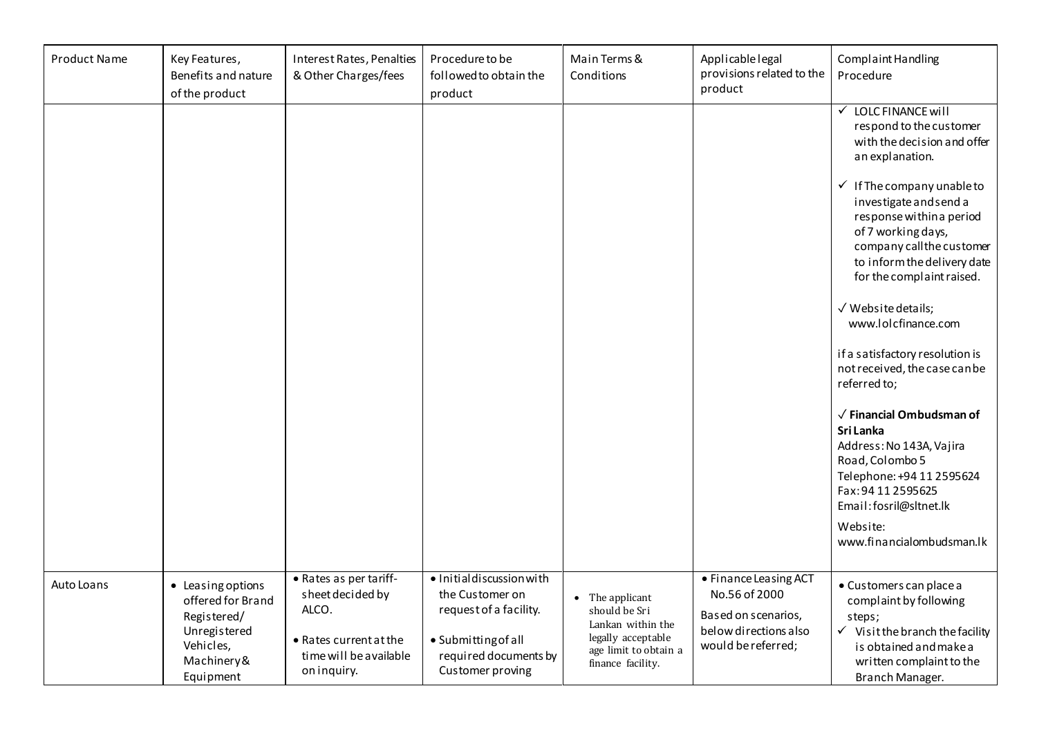| <b>Product Name</b> | Key Features,<br>Benefits and nature<br>of the product                                                        | Interest Rates, Penalties<br>& Other Charges/fees                                                                      | Procedure to be<br>followed to obtain the<br>product                                                                                      | Main Terms &<br>Conditions                                                                                                | Applicable legal<br>provisions related to the<br>product                                                     | Complaint Handling<br>Procedure                                                                                                                                                                            |
|---------------------|---------------------------------------------------------------------------------------------------------------|------------------------------------------------------------------------------------------------------------------------|-------------------------------------------------------------------------------------------------------------------------------------------|---------------------------------------------------------------------------------------------------------------------------|--------------------------------------------------------------------------------------------------------------|------------------------------------------------------------------------------------------------------------------------------------------------------------------------------------------------------------|
|                     |                                                                                                               |                                                                                                                        |                                                                                                                                           |                                                                                                                           |                                                                                                              | √ LOLC FINANCE will<br>respond to the customer<br>with the decision and offer<br>an explanation.                                                                                                           |
|                     |                                                                                                               |                                                                                                                        |                                                                                                                                           |                                                                                                                           |                                                                                                              | $\checkmark$ If The company unable to<br>investigate and send a<br>response within a period<br>of 7 working days,<br>company call the customer<br>to inform the delivery date<br>for the complaint raised. |
|                     |                                                                                                               |                                                                                                                        |                                                                                                                                           |                                                                                                                           |                                                                                                              | $\sqrt{W}$ Website details;<br>www.lolcfinance.com                                                                                                                                                         |
|                     |                                                                                                               |                                                                                                                        |                                                                                                                                           |                                                                                                                           |                                                                                                              | if a satisfactory resolution is<br>not received, the case can be<br>referred to;                                                                                                                           |
|                     |                                                                                                               |                                                                                                                        |                                                                                                                                           |                                                                                                                           |                                                                                                              | $\sqrt{\ }$ Financial Ombudsman of<br>Sri Lanka<br>Address: No 143A, Vajira<br>Road, Colombo 5<br>Telephone: +94 11 2595624<br>Fax: 94 11 2595625<br>Email: fosril@sltnet.lk                               |
|                     |                                                                                                               |                                                                                                                        |                                                                                                                                           |                                                                                                                           |                                                                                                              | Website:<br>www.financialombudsman.lk                                                                                                                                                                      |
| Auto Loans          | • Leasing options<br>offered for Brand<br>Registered/<br>Unregistered<br>Vehicles,<br>Machinery&<br>Equipment | • Rates as per tariff-<br>sheet decided by<br>ALCO.<br>• Rates current at the<br>time will be available<br>on inquiry. | · Initialdiscussion with<br>the Customer on<br>request of a facility.<br>· Submitting of all<br>required documents by<br>Customer proving | • The applicant<br>should be Sri<br>Lankan within the<br>legally acceptable<br>age limit to obtain a<br>finance facility. | • Finance Leasing ACT<br>No.56 of 2000<br>Based on scenarios,<br>below directions also<br>would be referred; | · Customers can place a<br>complaint by following<br>steps;<br>$\checkmark$ Visit the branch the facility<br>is obtained and make a<br>written complaint to the<br>Branch Manager.                         |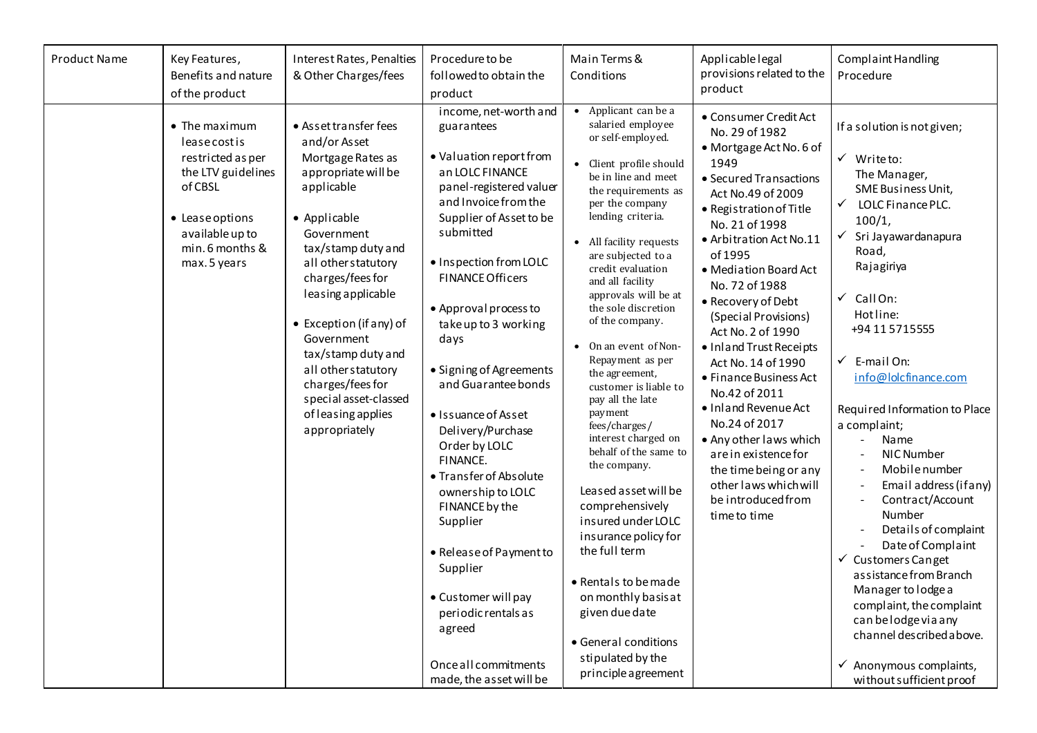| <b>Product Name</b> | Key Features,<br>Benefits and nature<br>of the product                                                                                                      | Interest Rates, Penalties<br>& Other Charges/fees                                                                                                                                                                                                                                                                                                                                              | Procedure to be<br>followed to obtain the<br>product                                                                                                                                                                                                                                                                                                                                                                                                                                                                                                                                                                                                 | Main Terms &<br>Conditions                                                                                                                                                                                                                                                                                                                                                                                                                                                                                                                                                                                                                                                                                                                                                                       | Applicable legal<br>provisions related to the<br>product                                                                                                                                                                                                                                                                                                                                                                                                                                                                                                                                                  | <b>Complaint Handling</b><br>Procedure                                                                                                                                                                                                                                                                                                                                                                                                                                                                                                                                                                                                                                                                                   |
|---------------------|-------------------------------------------------------------------------------------------------------------------------------------------------------------|------------------------------------------------------------------------------------------------------------------------------------------------------------------------------------------------------------------------------------------------------------------------------------------------------------------------------------------------------------------------------------------------|------------------------------------------------------------------------------------------------------------------------------------------------------------------------------------------------------------------------------------------------------------------------------------------------------------------------------------------------------------------------------------------------------------------------------------------------------------------------------------------------------------------------------------------------------------------------------------------------------------------------------------------------------|--------------------------------------------------------------------------------------------------------------------------------------------------------------------------------------------------------------------------------------------------------------------------------------------------------------------------------------------------------------------------------------------------------------------------------------------------------------------------------------------------------------------------------------------------------------------------------------------------------------------------------------------------------------------------------------------------------------------------------------------------------------------------------------------------|-----------------------------------------------------------------------------------------------------------------------------------------------------------------------------------------------------------------------------------------------------------------------------------------------------------------------------------------------------------------------------------------------------------------------------------------------------------------------------------------------------------------------------------------------------------------------------------------------------------|--------------------------------------------------------------------------------------------------------------------------------------------------------------------------------------------------------------------------------------------------------------------------------------------------------------------------------------------------------------------------------------------------------------------------------------------------------------------------------------------------------------------------------------------------------------------------------------------------------------------------------------------------------------------------------------------------------------------------|
|                     | • The maximum<br>leasecostis<br>restricted as per<br>the LTV guidelines<br>of CBSL<br>• Lease options<br>available up to<br>min. 6 months &<br>max. 5 years | • Asset transfer fees<br>and/or Asset<br>Mortgage Rates as<br>appropriate will be<br>applicable<br>• Applicable<br>Government<br>tax/stamp duty and<br>all other statutory<br>charges/fees for<br>leasing applicable<br>• Exception (if any) of<br>Government<br>tax/stamp duty and<br>all other statutory<br>charges/fees for<br>special asset-classed<br>of leasing applies<br>appropriately | income, net-worth and<br>guarantees<br>• Valuation report from<br>an LOLC FINANCE<br>panel-registered valuer<br>and Invoice from the<br>Supplier of Asset to be<br>submitted<br>• Inspection from LOLC<br><b>FINANCE Officers</b><br>• Approval process to<br>take up to 3 working<br>days<br>• Signing of Agreements<br>and Guarantee bonds<br>• Issuance of Asset<br>Delivery/Purchase<br>Order by LOLC<br>FINANCE.<br>• Transfer of Absolute<br>ownership to LOLC<br>FINANCE by the<br>Supplier<br>• Release of Payment to<br>Supplier<br>• Customer will pay<br>periodic rentals as<br>agreed<br>Once all commitments<br>made, the asset will be | • Applicant can be a<br>salaried employee<br>or self-employed.<br>• Client profile should<br>be in line and meet<br>the requirements as<br>per the company<br>lending criteria.<br>All facility requests<br>are subjected to a<br>credit evaluation<br>and all facility<br>approvals will be at<br>the sole discretion<br>of the company.<br>• On an event of Non-<br>Repayment as per<br>the agreement,<br>customer is liable to<br>pay all the late<br>payment<br>fees/charges/<br>interest charged on<br>behalf of the same to<br>the company.<br>Leased asset will be<br>comprehensively<br>insured under LOLC<br>insurance policy for<br>the full term<br>• Rentals to be made<br>on monthly basis at<br>given due date<br>• General conditions<br>stipulated by the<br>principle agreement | • Consumer Credit Act<br>No. 29 of 1982<br>• Mortgage Act No. 6 of<br>1949<br>• Secured Transactions<br>Act No.49 of 2009<br>• Registration of Title<br>No. 21 of 1998<br>• Arbitration Act No.11<br>of 1995<br>• Mediation Board Act<br>No. 72 of 1988<br>• Recovery of Debt<br>(Special Provisions)<br>Act No. 2 of 1990<br>• Inland Trust Receipts<br>Act No. 14 of 1990<br>• Finance Business Act<br>No.42 of 2011<br>· Inland Revenue Act<br>No.24 of 2017<br>• Any other laws which<br>are in existence for<br>the time being or any<br>other laws which will<br>be introduced from<br>time to time | If a solution is not given;<br>$\checkmark$ Writeto:<br>The Manager,<br>SME Business Unit,<br>✓<br>LOLC Finance PLC.<br>100/1,<br>✓<br>Sri Jayawardanapura<br>Road,<br>Rajagiriya<br>Call On:<br>✓<br>Hotline:<br>+94 11 57 15 555<br>$\checkmark$ E-mail On:<br>info@lolcfinance.com<br>Required Information to Place<br>a complaint;<br>Name<br>NIC Number<br>Mobile number<br>Email address (if any)<br>Contract/Account<br>Number<br>Details of complaint<br>Date of Complaint<br>Customers Canget<br>$\checkmark$<br>assistance from Branch<br>Manager to lodge a<br>complaint, the complaint<br>can be lodge via any<br>channel described above.<br>$\checkmark$ Anonymous complaints,<br>without sufficient proof |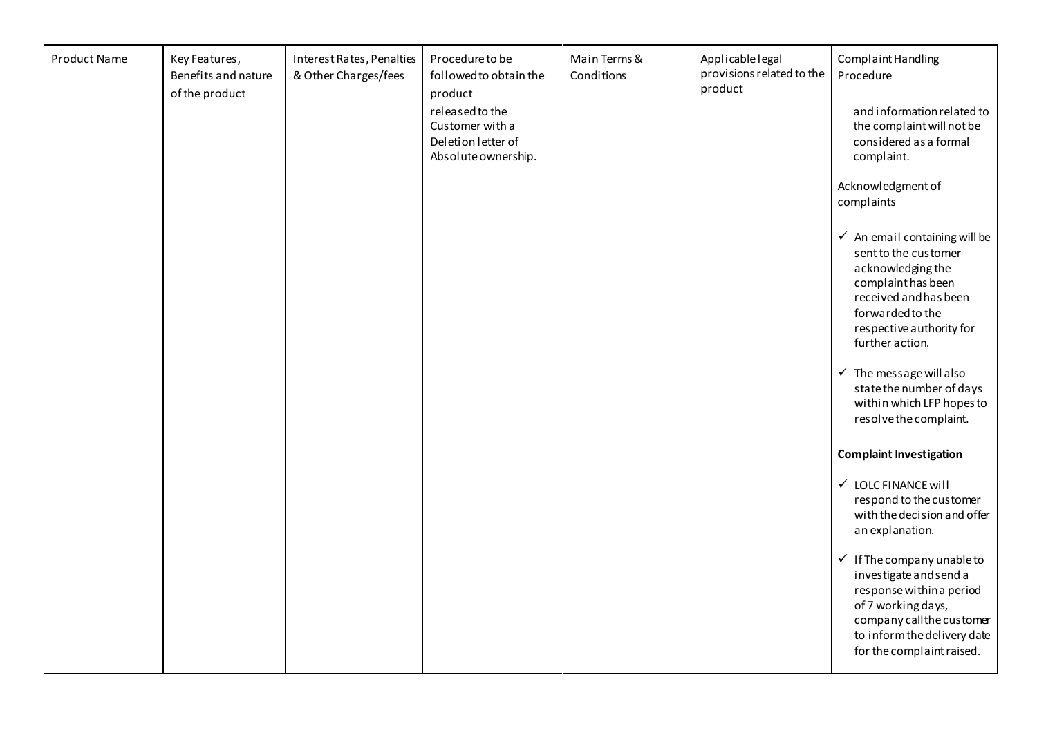| Product Name | Key Features,<br>Benefits and nature<br>of the product | Interest Rates, Penalties<br>& Other Charges/fees | Procedure to be<br>followed to obtain the<br>product                            | Main Terms &<br>Conditions | Applicable legal<br>provisions related to the<br>product | Complaint Handling<br>Procedure                                                                                                                                                                                                               |
|--------------|--------------------------------------------------------|---------------------------------------------------|---------------------------------------------------------------------------------|----------------------------|----------------------------------------------------------|-----------------------------------------------------------------------------------------------------------------------------------------------------------------------------------------------------------------------------------------------|
|              |                                                        |                                                   | released to the<br>Customer with a<br>Deletion letter of<br>Absolute ownership. |                            |                                                          | and information related to<br>the complaint will not be<br>considered as a formal<br>complaint.                                                                                                                                               |
|              |                                                        |                                                   |                                                                                 |                            |                                                          | Acknowledgment of<br>complaints                                                                                                                                                                                                               |
|              |                                                        |                                                   |                                                                                 |                            |                                                          | $\checkmark$ An email containing will be<br>sent to the customer<br>acknowledging the<br>complaint has been<br>received and has been<br>forwarded to the<br>respective authority for<br>further action.<br>$\checkmark$ The message will also |
|              |                                                        |                                                   |                                                                                 |                            |                                                          | state the number of days<br>within which LFP hopes to<br>resolve the complaint.                                                                                                                                                               |
|              |                                                        |                                                   |                                                                                 |                            |                                                          | <b>Complaint Investigation</b>                                                                                                                                                                                                                |
|              |                                                        |                                                   |                                                                                 |                            |                                                          | $\checkmark$ LOLC FINANCE will<br>respond to the customer<br>with the decision and offer<br>an explanation.                                                                                                                                   |
|              |                                                        |                                                   |                                                                                 |                            |                                                          | $\checkmark$ If The company unable to<br>investigate and send a<br>response within a period<br>of 7 working days,<br>company call the customer<br>to inform the delivery date<br>for the complaint raised.                                    |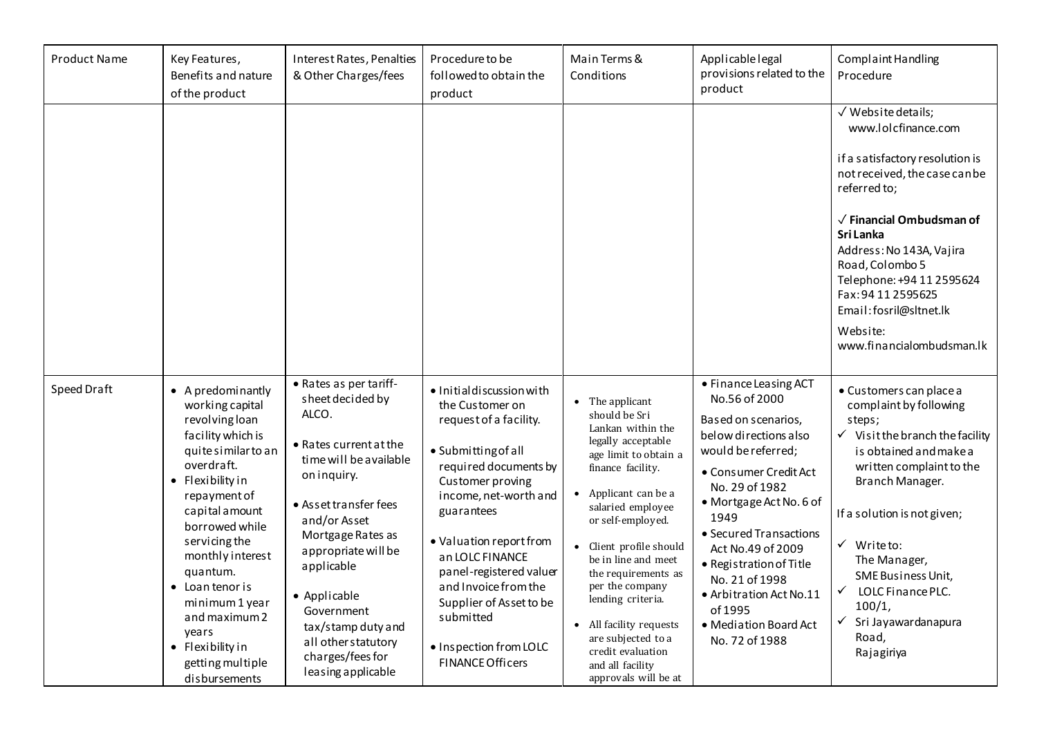| <b>Product Name</b> | Key Features,<br>Benefits and nature<br>of the product                                                                                                                                                                                                                                                                                                            | Interest Rates, Penalties<br>& Other Charges/fees                                                                                                                                                                                                                                                                                              | Procedure to be<br>followed to obtain the<br>product                                                                                                                                                                                                                                                                                                                            | Main Terms &<br>Conditions                                                                                                                                                                                                                                                                                                                                                                                             | Applicable legal<br>provisions related to the<br>product                                                                                                                                                                                                                                                                                                                | Complaint Handling<br>Procedure                                                                                                                                                                                                                                                                                                                                                            |
|---------------------|-------------------------------------------------------------------------------------------------------------------------------------------------------------------------------------------------------------------------------------------------------------------------------------------------------------------------------------------------------------------|------------------------------------------------------------------------------------------------------------------------------------------------------------------------------------------------------------------------------------------------------------------------------------------------------------------------------------------------|---------------------------------------------------------------------------------------------------------------------------------------------------------------------------------------------------------------------------------------------------------------------------------------------------------------------------------------------------------------------------------|------------------------------------------------------------------------------------------------------------------------------------------------------------------------------------------------------------------------------------------------------------------------------------------------------------------------------------------------------------------------------------------------------------------------|-------------------------------------------------------------------------------------------------------------------------------------------------------------------------------------------------------------------------------------------------------------------------------------------------------------------------------------------------------------------------|--------------------------------------------------------------------------------------------------------------------------------------------------------------------------------------------------------------------------------------------------------------------------------------------------------------------------------------------------------------------------------------------|
|                     |                                                                                                                                                                                                                                                                                                                                                                   |                                                                                                                                                                                                                                                                                                                                                |                                                                                                                                                                                                                                                                                                                                                                                 |                                                                                                                                                                                                                                                                                                                                                                                                                        |                                                                                                                                                                                                                                                                                                                                                                         | $\sqrt{W}$ Website details;<br>www.lolcfinance.com<br>if a satisfactory resolution is<br>not received, the case can be<br>referred to;<br>$\sqrt{}$ Financial Ombudsman of<br>Sri Lanka<br>Address: No 143A, Vajira<br>Road, Colombo 5<br>Telephone: +94 11 2595624<br>Fax: 94 11 2595625<br>Email: fosril@sltnet.lk<br>Website:<br>www.financialombudsman.lk                              |
| Speed Draft         | • A predominantly<br>working capital<br>revolving loan<br>facility which is<br>quite similar to an<br>overdraft.<br>• Flexibility in<br>repayment of<br>capital amount<br>borrowed while<br>servicing the<br>monthly interest<br>quantum.<br>• Loan tenor is<br>minimum 1 year<br>and maximum 2<br>years<br>• Flexibility in<br>getting multiple<br>disbursements | • Rates as per tariff-<br>sheet decided by<br>ALCO.<br>• Rates current at the<br>time will be available<br>on inquiry.<br>• Asset transfer fees<br>and/or Asset<br>Mortgage Rates as<br>appropriate will be<br>applicable<br>• Applicable<br>Government<br>tax/stamp duty and<br>all other statutory<br>charges/fees for<br>leasing applicable | · Initial discussion with<br>the Customer on<br>request of a facility.<br>· Submitting of all<br>required documents by<br>Customer proving<br>income, net-worth and<br>guarantees<br>• Valuation report from<br>an LOLC FINANCE<br>panel-registered valuer<br>and Invoice from the<br>Supplier of Asset to be<br>submitted<br>• Inspection from LOLC<br><b>FINANCE Officers</b> | The applicant<br>should be Sri<br>Lankan within the<br>legally acceptable<br>age limit to obtain a<br>finance facility.<br>Applicant can be a<br>salaried employee<br>or self-employed.<br>Client profile should<br>be in line and meet<br>the requirements as<br>per the company<br>lending criteria.<br>All facility requests<br>are subjected to a<br>credit evaluation<br>and all facility<br>approvals will be at | • Finance Leasing ACT<br>No.56 of 2000<br>Based on scenarios,<br>below directions also<br>would be referred;<br>• Consumer Credit Act<br>No. 29 of 1982<br>• Mortgage Act No. 6 of<br>1949<br>• Secured Transactions<br>Act No.49 of 2009<br>• Registration of Title<br>No. 21 of 1998<br>• Arbitration Act No.11<br>of 1995<br>• Mediation Board Act<br>No. 72 of 1988 | · Customers can place a<br>complaint by following<br>steps;<br>$\checkmark$ Visit the branch the facility<br>is obtained and make a<br>written complaint to the<br>Branch Manager.<br>If a solution is not given;<br>$\checkmark$ Writeto:<br>The Manager,<br>SME Business Unit,<br>$\checkmark$ LOLC Finance PLC.<br>100/1,<br>Sri Jayawardanapura<br>$\checkmark$<br>Road,<br>Rajagiriya |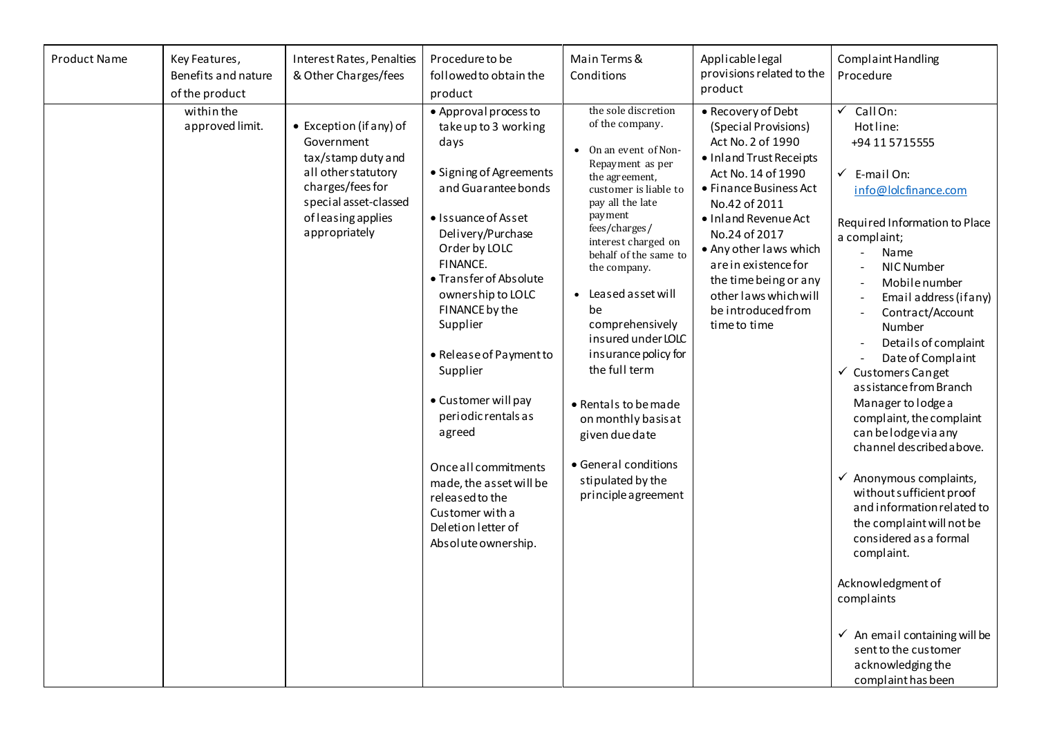| <b>Product Name</b> | Key Features,<br>Benefits and nature<br>of the product | Interest Rates, Penalties<br>& Other Charges/fees                                                                                                                      | Procedure to be<br>followed to obtain the<br>product                                                                                                                                                                                                                                                                                                                                                                                                                                                      | Main Terms &<br>Conditions                                                                                                                                                                                                                                                                                                                                                                                                                                                                         | Applicablelegal<br>provisions related to the<br>product                                                                                                                                                                                                                                                                                        | Complaint Handling<br>Procedure                                                                                                                                                                                                                                                                                                                                                                                                                                                                                                                                                                                                                                                                                                                                                            |
|---------------------|--------------------------------------------------------|------------------------------------------------------------------------------------------------------------------------------------------------------------------------|-----------------------------------------------------------------------------------------------------------------------------------------------------------------------------------------------------------------------------------------------------------------------------------------------------------------------------------------------------------------------------------------------------------------------------------------------------------------------------------------------------------|----------------------------------------------------------------------------------------------------------------------------------------------------------------------------------------------------------------------------------------------------------------------------------------------------------------------------------------------------------------------------------------------------------------------------------------------------------------------------------------------------|------------------------------------------------------------------------------------------------------------------------------------------------------------------------------------------------------------------------------------------------------------------------------------------------------------------------------------------------|--------------------------------------------------------------------------------------------------------------------------------------------------------------------------------------------------------------------------------------------------------------------------------------------------------------------------------------------------------------------------------------------------------------------------------------------------------------------------------------------------------------------------------------------------------------------------------------------------------------------------------------------------------------------------------------------------------------------------------------------------------------------------------------------|
|                     | within the<br>approved limit.                          | • Exception (if any) of<br>Government<br>tax/stamp duty and<br>all other statutory<br>charges/fees for<br>special asset-classed<br>of leasing applies<br>appropriately | • Approval process to<br>take up to 3 working<br>days<br>• Signing of Agreements<br>and Guarantee bonds<br>• Issuance of Asset<br>Delivery/Purchase<br>Order by LOLC<br><b>FINANCE.</b><br>• Transfer of Absolute<br>ownership to LOLC<br>FINANCE by the<br>Supplier<br>• Release of Payment to<br>Supplier<br>• Customer will pay<br>periodic rentals as<br>agreed<br>Once all commitments<br>made, the asset will be<br>released to the<br>Customer with a<br>Deletion letter of<br>Absolute ownership. | the sole discretion<br>of the company.<br>• On an event of Non-<br>Repayment as per<br>the agreement,<br>customer is liable to<br>pay all the late<br>payment<br>fees/charges/<br>interest charged on<br>behalf of the same to<br>the company.<br>• Leased asset will<br>be<br>comprehensively<br>insured under LOLC<br>insurance policy for<br>the full term<br>• Rentals to be made<br>on monthly basis at<br>given due date<br>• General conditions<br>stipulated by the<br>principle agreement | • Recovery of Debt<br>(Special Provisions)<br>Act No. 2 of 1990<br>• Inland Trust Receipts<br>Act No. 14 of 1990<br>• Finance Business Act<br>No.42 of 2011<br>• Inland Revenue Act<br>No.24 of 2017<br>• Any other laws which<br>are in existence for<br>the time being or any<br>other laws which will<br>be introduced from<br>time to time | $\sqrt{$ Call On:<br>Hotline:<br>+94 11 5715555<br>$\checkmark$ E-mail On:<br>info@lolcfinance.com<br>Required Information to Place<br>a complaint;<br>Name<br>NIC Number<br>Mobile number<br>Email address (if any)<br>Contract/Account<br>Number<br>Details of complaint<br>Date of Complaint<br>Customers Canget<br>$\checkmark$<br>assistance from Branch<br>Manager to lodge a<br>complaint, the complaint<br>can be lodge via any<br>channel described above.<br>$\checkmark$ Anonymous complaints,<br>without sufficient proof<br>and information related to<br>the complaint will not be<br>considered as a formal<br>complaint.<br>Acknowledgment of<br>complaints<br>$\checkmark$ An email containing will be<br>sent to the customer<br>acknowledging the<br>complaint has been |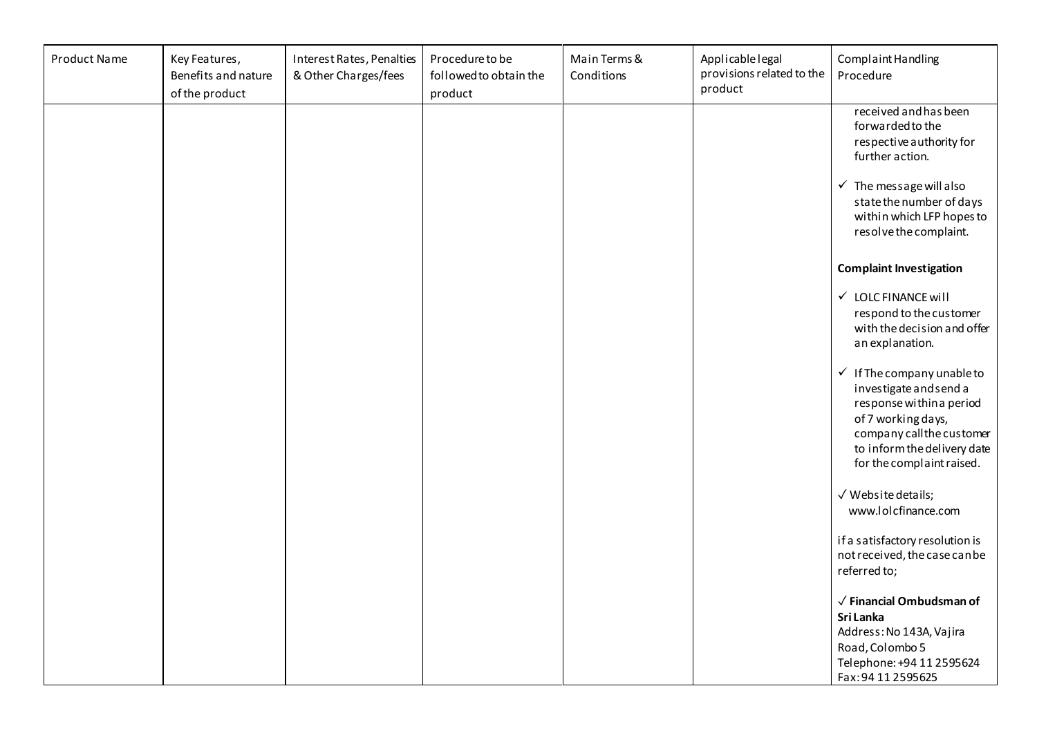| Product Name | Key Features,<br>Benefits and nature<br>of the product | Interest Rates, Penalties<br>& Other Charges/fees | Procedure to be<br>followed to obtain the<br>product | Main Terms &<br>Conditions | Applicable legal<br>provisions related to the<br>product | Complaint Handling<br>Procedure                                                                                                                                                                            |
|--------------|--------------------------------------------------------|---------------------------------------------------|------------------------------------------------------|----------------------------|----------------------------------------------------------|------------------------------------------------------------------------------------------------------------------------------------------------------------------------------------------------------------|
|              |                                                        |                                                   |                                                      |                            |                                                          | received and has been<br>forwarded to the<br>respective authority for<br>further action.                                                                                                                   |
|              |                                                        |                                                   |                                                      |                            |                                                          | $\checkmark$ The message will also<br>state the number of days<br>within which LFP hopes to<br>resolve the complaint.                                                                                      |
|              |                                                        |                                                   |                                                      |                            |                                                          | <b>Complaint Investigation</b>                                                                                                                                                                             |
|              |                                                        |                                                   |                                                      |                            |                                                          | √ LOLC FINANCE will<br>respond to the customer<br>with the decision and offer<br>an explanation.                                                                                                           |
|              |                                                        |                                                   |                                                      |                            |                                                          | $\checkmark$ If The company unable to<br>investigate and send a<br>response within a period<br>of 7 working days,<br>company call the customer<br>to inform the delivery date<br>for the complaint raised. |
|              |                                                        |                                                   |                                                      |                            |                                                          | $\sqrt{W}$ Website details;<br>www.lolcfinance.com                                                                                                                                                         |
|              |                                                        |                                                   |                                                      |                            |                                                          | if a satisfactory resolution is<br>not received, the case can be<br>referred to;                                                                                                                           |
|              |                                                        |                                                   |                                                      |                            |                                                          | $\sqrt{\ }$ Financial Ombudsman of<br>Sri Lanka<br>Address: No 143A, Vajira<br>Road, Colombo 5<br>Telephone: +94 11 2595624<br>Fax: 94 11 2595625                                                          |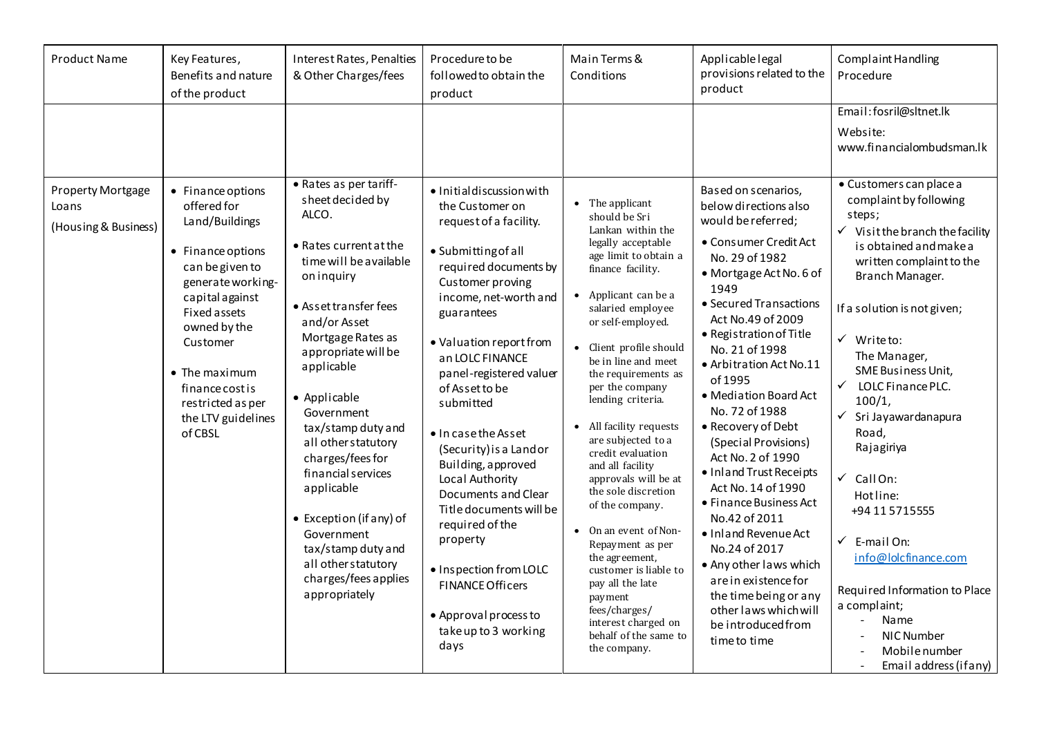| Product Name               | Key Features,<br>Benefits and nature<br>of the product                                                                                                                                                                                       | Interest Rates, Penalties<br>& Other Charges/fees                                                                                                                                                                                                                                                                                                                                                                                   | Procedure to be<br>followed to obtain the<br>product                                                                                                                                                                                                                                                                                                                                                                                                                                                                               | Main Terms &<br>Conditions                                                                                                                                                                                                                                                                                                                                                                                                                                                                                                                                                                                                                              | Applicable legal<br>provisions related to the<br>product                                                                                                                                                                                                                                                                                                                                                                                                                                                                                                                                                                        | <b>Complaint Handling</b><br>Procedure                                                                                                                                                                                                                                                                                                                                                                                                                                                                                                                                             |
|----------------------------|----------------------------------------------------------------------------------------------------------------------------------------------------------------------------------------------------------------------------------------------|-------------------------------------------------------------------------------------------------------------------------------------------------------------------------------------------------------------------------------------------------------------------------------------------------------------------------------------------------------------------------------------------------------------------------------------|------------------------------------------------------------------------------------------------------------------------------------------------------------------------------------------------------------------------------------------------------------------------------------------------------------------------------------------------------------------------------------------------------------------------------------------------------------------------------------------------------------------------------------|---------------------------------------------------------------------------------------------------------------------------------------------------------------------------------------------------------------------------------------------------------------------------------------------------------------------------------------------------------------------------------------------------------------------------------------------------------------------------------------------------------------------------------------------------------------------------------------------------------------------------------------------------------|---------------------------------------------------------------------------------------------------------------------------------------------------------------------------------------------------------------------------------------------------------------------------------------------------------------------------------------------------------------------------------------------------------------------------------------------------------------------------------------------------------------------------------------------------------------------------------------------------------------------------------|------------------------------------------------------------------------------------------------------------------------------------------------------------------------------------------------------------------------------------------------------------------------------------------------------------------------------------------------------------------------------------------------------------------------------------------------------------------------------------------------------------------------------------------------------------------------------------|
| Property Mortgage<br>Loans | • Finance options<br>offered for                                                                                                                                                                                                             | • Rates as per tariff-<br>sheet decided by<br>ALCO.                                                                                                                                                                                                                                                                                                                                                                                 | · Initial discussion with<br>the Customer on                                                                                                                                                                                                                                                                                                                                                                                                                                                                                       | The applicant                                                                                                                                                                                                                                                                                                                                                                                                                                                                                                                                                                                                                                           | Based on scenarios,<br>below directions also                                                                                                                                                                                                                                                                                                                                                                                                                                                                                                                                                                                    | Email: fosril@sltnet.lk<br>Website:<br>www.financialombudsman.lk<br>• Customers can place a<br>complaint by following                                                                                                                                                                                                                                                                                                                                                                                                                                                              |
| (Housing & Business)       | Land/Buildings<br>• Finance options<br>can be given to<br>generate working-<br>capital against<br>Fixed assets<br>owned by the<br>Customer<br>$\bullet$ The maximum<br>finance cost is<br>restricted as per<br>the LTV guidelines<br>of CBSL | • Rates current at the<br>time will be available<br>on inquiry<br>• Asset transfer fees<br>and/or Asset<br>Mortgage Rates as<br>appropriate will be<br>applicable<br>• Applicable<br>Government<br>tax/stamp duty and<br>all other statutory<br>charges/fees for<br>financial services<br>applicable<br>• Exception (if any) of<br>Government<br>tax/stamp duty and<br>all other statutory<br>charges/fees applies<br>appropriately | request of a facility.<br>· Submitting of all<br>required documents by<br>Customer proving<br>income, net-worth and<br>guarantees<br>• Valuation report from<br>an LOLC FINANCE<br>panel-registered valuer<br>of Asset to be<br>submitted<br>· In case the Asset<br>(Security) is a Landor<br>Building, approved<br>Local Authority<br>Documents and Clear<br>Title documents will be<br>required of the<br>property<br>. Inspection from LOLC<br><b>FINANCE Officers</b><br>• Approval process to<br>take up to 3 working<br>days | should be Sri<br>Lankan within the<br>legally acceptable<br>age limit to obtain a<br>finance facility.<br>Applicant can be a<br>salaried employee<br>or self-employed.<br>Client profile should<br>be in line and meet<br>the requirements as<br>per the company<br>lending criteria.<br>All facility requests<br>are subjected to a<br>credit evaluation<br>and all facility<br>approvals will be at<br>the sole discretion<br>of the company.<br>• On an event of Non-<br>Repayment as per<br>the agreement,<br>customer is liable to<br>pay all the late<br>payment<br>fees/charges/<br>interest charged on<br>behalf of the same to<br>the company. | would be referred:<br>• Consumer Credit Act<br>No. 29 of 1982<br>• Mortgage Act No. 6 of<br>1949<br>• Secured Transactions<br>Act No.49 of 2009<br>• Registration of Title<br>No. 21 of 1998<br>• Arbitration Act No.11<br>of 1995<br>• Mediation Board Act<br>No. 72 of 1988<br>• Recovery of Debt<br>(Special Provisions)<br>Act No. 2 of 1990<br>• Inland Trust Receipts<br>Act No. 14 of 1990<br>• Finance Business Act<br>No.42 of 2011<br>· Inland Revenue Act<br>No.24 of 2017<br>• Any other laws which<br>are in existence for<br>the time being or any<br>other laws which will<br>be introduced from<br>time to time | steps;<br>$\checkmark$ Visit the branch the facility<br>is obtained and make a<br>written complaint to the<br>Branch Manager.<br>If a solution is not given;<br>$\checkmark$ Writeto:<br>The Manager,<br>SME Business Unit,<br>$\checkmark$<br>LOLC Finance PLC.<br>100/1,<br>$\checkmark$<br>Sri Jayawardanapura<br>Road,<br>Rajagiriya<br>$\checkmark$<br>CallOn:<br>Hotline:<br>+94 11 57 15 555<br>$\checkmark$ E-mail On:<br>info@lolcfinance.com<br>Required Information to Place<br>a complaint;<br>Name<br>$\sim$<br>NIC Number<br>Mobile number<br>Email address (if any) |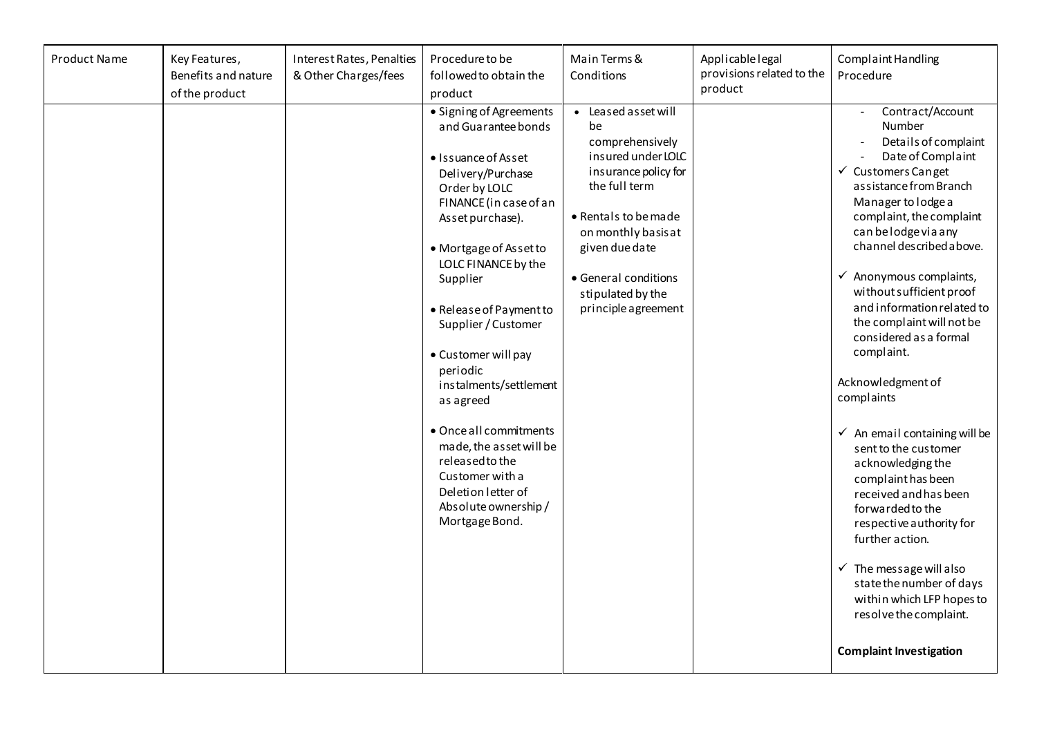| Product Name | Key Features,<br>Benefits and nature<br>of the product | Interest Rates, Penalties<br>& Other Charges/fees | Procedure to be<br>followed to obtain the<br>product                                                                                                                                                                                                                                                                                                                                                                                                                                                          | Main Terms &<br>Conditions                                                                                                                                                                                                                       | Applicable legal<br>provisions related to the<br>product | Complaint Handling<br>Procedure                                                                                                                                                                                                                                                                                                                                                                                                                                                                                                                                                                                                                                                                                                                                                                                              |
|--------------|--------------------------------------------------------|---------------------------------------------------|---------------------------------------------------------------------------------------------------------------------------------------------------------------------------------------------------------------------------------------------------------------------------------------------------------------------------------------------------------------------------------------------------------------------------------------------------------------------------------------------------------------|--------------------------------------------------------------------------------------------------------------------------------------------------------------------------------------------------------------------------------------------------|----------------------------------------------------------|------------------------------------------------------------------------------------------------------------------------------------------------------------------------------------------------------------------------------------------------------------------------------------------------------------------------------------------------------------------------------------------------------------------------------------------------------------------------------------------------------------------------------------------------------------------------------------------------------------------------------------------------------------------------------------------------------------------------------------------------------------------------------------------------------------------------------|
|              |                                                        |                                                   | • Signing of Agreements<br>and Guarantee bonds<br>• Issuance of Asset<br>Delivery/Purchase<br>Order by LOLC<br>FINANCE (in case of an<br>Asset purchase).<br>• Mortgage of Asset to<br>LOLC FINANCE by the<br>Supplier<br>· Release of Payment to<br>Supplier / Customer<br>• Customer will pay<br>periodic<br>instalments/settlement<br>as agreed<br>· Once all commitments<br>made, the asset will be<br>released to the<br>Customer with a<br>Deletion letter of<br>Absolute ownership /<br>Mortgage Bond. | • Leased asset will<br>be<br>comprehensively<br>insured under LOLC<br>insurance policy for<br>the full term<br>• Rentals to be made<br>on monthly basis at<br>given due date<br>• General conditions<br>stipulated by the<br>principle agreement |                                                          | Contract/Account<br>$\sim$<br><b>Number</b><br>Details of complaint<br>Date of Complaint<br>$\checkmark$ Customers Canget<br>assistance from Branch<br>Manager to lodge a<br>complaint, the complaint<br>can belodge via any<br>channel described above.<br>Anonymous complaints,<br>without sufficient proof<br>and information related to<br>the complaint will not be<br>considered as a formal<br>complaint.<br>Acknowledgment of<br>complaints<br>$\checkmark$ An email containing will be<br>sent to the customer<br>acknowledging the<br>complaint has been<br>received and has been<br>forwarded to the<br>respective authority for<br>further action.<br>The message will also<br>$\checkmark$<br>state the number of days<br>within which LFP hopes to<br>resolve the complaint.<br><b>Complaint Investigation</b> |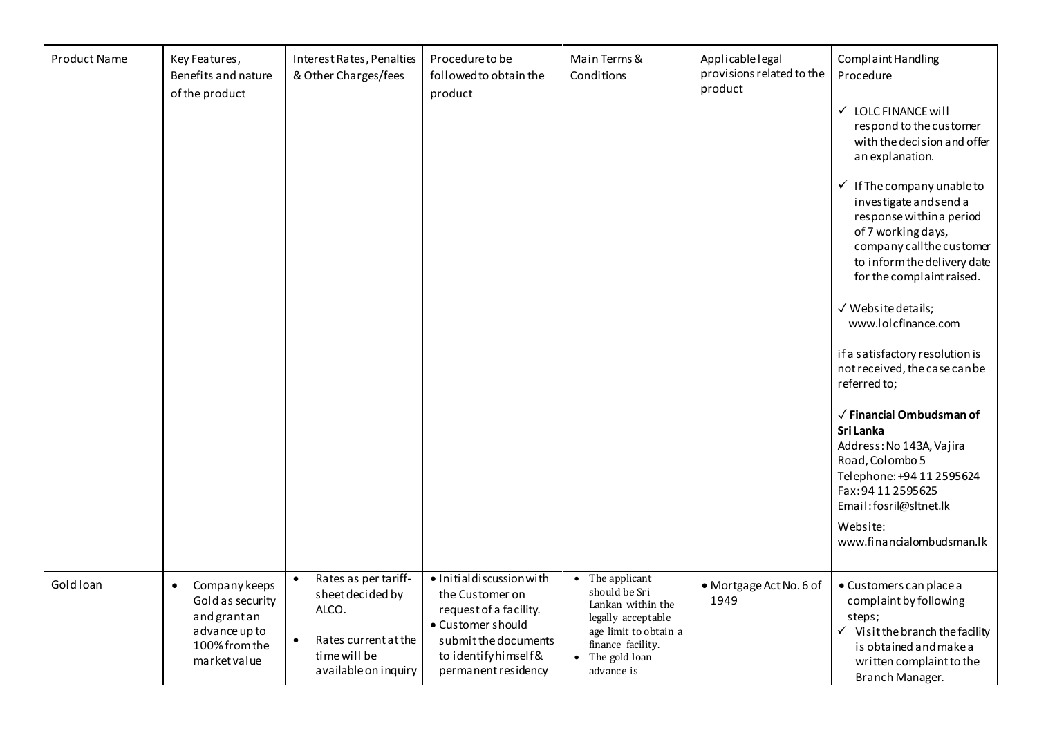| <b>Product Name</b> | Key Features,<br>Benefits and nature<br>of the product                                                           | Interest Rates, Penalties<br>& Other Charges/fees                                                                                           | Procedure to be<br>followed to obtain the<br>product                                                                                                             | Main Terms &<br>Conditions                                                                                                                                       | Applicable legal<br>provisions related to the<br>product | Complaint Handling<br>Procedure                                                                                                                                                                                                                                  |
|---------------------|------------------------------------------------------------------------------------------------------------------|---------------------------------------------------------------------------------------------------------------------------------------------|------------------------------------------------------------------------------------------------------------------------------------------------------------------|------------------------------------------------------------------------------------------------------------------------------------------------------------------|----------------------------------------------------------|------------------------------------------------------------------------------------------------------------------------------------------------------------------------------------------------------------------------------------------------------------------|
|                     |                                                                                                                  |                                                                                                                                             |                                                                                                                                                                  |                                                                                                                                                                  |                                                          | √ LOLC FINANCE will<br>respond to the customer<br>with the decision and offer<br>an explanation.                                                                                                                                                                 |
|                     |                                                                                                                  |                                                                                                                                             |                                                                                                                                                                  |                                                                                                                                                                  |                                                          | $\checkmark$ If The company unable to<br>investigate and send a<br>response within a period<br>of 7 working days,<br>company call the customer<br>to inform the delivery date<br>for the complaint raised.<br>$\sqrt{W}$ Website details;<br>www.lolcfinance.com |
|                     |                                                                                                                  |                                                                                                                                             |                                                                                                                                                                  |                                                                                                                                                                  |                                                          | if a satisfactory resolution is<br>not received, the case can be<br>referred to;                                                                                                                                                                                 |
|                     |                                                                                                                  |                                                                                                                                             |                                                                                                                                                                  |                                                                                                                                                                  |                                                          | $\sqrt{\ }$ Financial Ombudsman of<br>Sri Lanka<br>Address: No 143A, Vajira<br>Road, Colombo 5<br>Telephone: +94 11 2595624<br>Fax: 94 11 2595625<br>Email: fosril@sltnet.lk                                                                                     |
|                     |                                                                                                                  |                                                                                                                                             |                                                                                                                                                                  |                                                                                                                                                                  |                                                          | Website:<br>www.financialombudsman.lk                                                                                                                                                                                                                            |
| Gold loan           | Company keeps<br>$\bullet$<br>Gold as security<br>and grant an<br>advance up to<br>100% from the<br>market value | Rates as per tariff-<br>$\bullet$<br>sheet decided by<br>ALCO.<br>Rates current at the<br>$\bullet$<br>time will be<br>available on inquiry | · Initialdiscussion with<br>the Customer on<br>request of a facility.<br>• Customer should<br>submit the documents<br>to identifyhimself&<br>permanent residency | $\bullet$ The applicant<br>should be Sri<br>Lankan within the<br>legally acceptable<br>age limit to obtain a<br>finance facility.<br>The gold loan<br>advance is | · Mortgage Act No. 6 of<br>1949                          | · Customers can place a<br>complaint by following<br>steps;<br>$\checkmark$ Visit the branch the facility<br>is obtained and make a<br>written complaint to the<br>Branch Manager.                                                                               |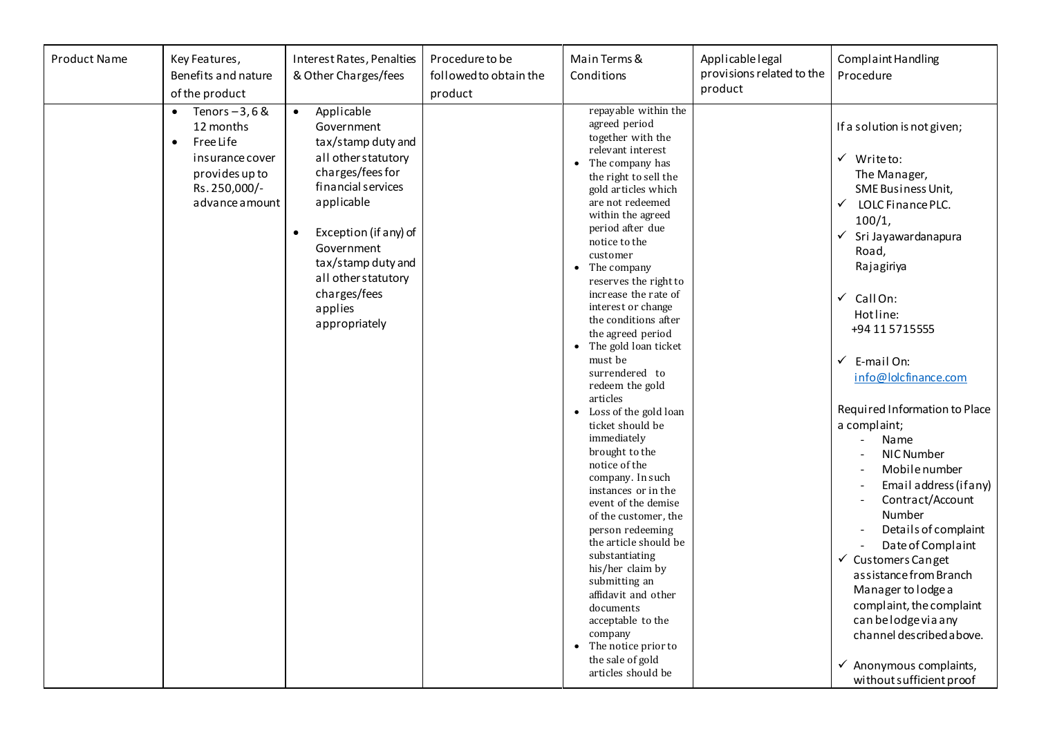| <b>Product Name</b> | Key Features,<br>Benefits and nature<br>of the product                                                                                      | Interest Rates, Penalties<br>& Other Charges/fees                                                                                                                                                                                                                                       | Procedure to be<br>followed to obtain the<br>product | Main Terms &<br>Conditions                                                                                                                                                                                                                                                                                                                                                                                                                                                                                                                                                                                                                                                                                                                                                                                                                                                                                                            | Applicable legal<br>provisions related to the<br>product | <b>Complaint Handling</b><br>Procedure                                                                                                                                                                                                                                                                                                                                                                                                                                                                                                                                                                                                                                                                                               |
|---------------------|---------------------------------------------------------------------------------------------------------------------------------------------|-----------------------------------------------------------------------------------------------------------------------------------------------------------------------------------------------------------------------------------------------------------------------------------------|------------------------------------------------------|---------------------------------------------------------------------------------------------------------------------------------------------------------------------------------------------------------------------------------------------------------------------------------------------------------------------------------------------------------------------------------------------------------------------------------------------------------------------------------------------------------------------------------------------------------------------------------------------------------------------------------------------------------------------------------------------------------------------------------------------------------------------------------------------------------------------------------------------------------------------------------------------------------------------------------------|----------------------------------------------------------|--------------------------------------------------------------------------------------------------------------------------------------------------------------------------------------------------------------------------------------------------------------------------------------------------------------------------------------------------------------------------------------------------------------------------------------------------------------------------------------------------------------------------------------------------------------------------------------------------------------------------------------------------------------------------------------------------------------------------------------|
|                     | Tenors $-3,6$ &<br>$\bullet$<br>12 months<br>Free Life<br>$\bullet$<br>insurance cover<br>provides up to<br>Rs. 250,000/-<br>advance amount | Applicable<br>$\bullet$<br>Government<br>tax/stamp duty and<br>all other statutory<br>charges/fees for<br>financial services<br>applicable<br>Exception (if any) of<br>$\bullet$<br>Government<br>tax/stamp duty and<br>all other statutory<br>charges/fees<br>applies<br>appropriately |                                                      | repayable within the<br>agreed period<br>together with the<br>relevant interest<br>• The company has<br>the right to sell the<br>gold articles which<br>are not redeemed<br>within the agreed<br>period after due<br>notice to the<br>customer<br>• The company<br>reserves the right to<br>increase the rate of<br>interest or change<br>the conditions after<br>the agreed period<br>The gold loan ticket<br>$\bullet$<br>must be<br>surrendered to<br>redeem the gold<br>articles<br>• Loss of the gold loan<br>ticket should be<br>immediately<br>brought to the<br>notice of the<br>company. In such<br>instances or in the<br>event of the demise<br>of the customer, the<br>person redeeming<br>the article should be<br>substantiating<br>his/her claim by<br>submitting an<br>affidavit and other<br>documents<br>acceptable to the<br>company<br>The notice prior to<br>$\bullet$<br>the sale of gold<br>articles should be |                                                          | If a solution is not given;<br>$\checkmark$ Writeto:<br>The Manager,<br>SME Business Unit,<br>LOLC Finance PLC.<br>✓<br>100/1,<br>$\checkmark$ Sri Jayawardanapura<br>Road,<br>Rajagiriya<br>$\checkmark$ Call On:<br>Hotline:<br>+94 11 57 15 555<br>$\checkmark$ E-mail On:<br>info@lolcfinance.com<br>Required Information to Place<br>a complaint;<br>Name<br>NIC Number<br>Mobile number<br>Email address (ifany)<br>Contract/Account<br>Number<br>Details of complaint<br>Date of Complaint<br>$\checkmark$ Customers Canget<br>assistance from Branch<br>Manager to lodge a<br>complaint, the complaint<br>can be lodge via any<br>channel described above.<br>$\checkmark$ Anonymous complaints,<br>without sufficient proof |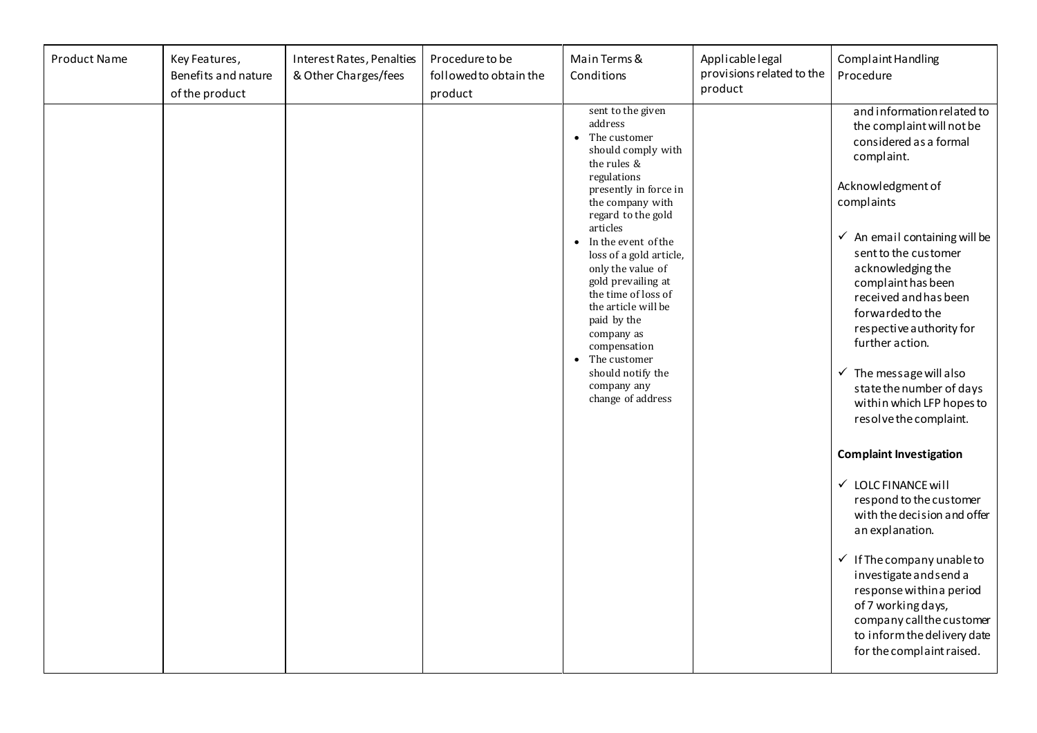| Product Name | Key Features,<br>Benefits and nature<br>of the product | Interest Rates, Penalties<br>& Other Charges/fees | Procedure to be<br>followed to obtain the<br>product | Main Terms &<br>Conditions                                                                                                                                                                                                                                                                                                                                                                                                                                           | Applicablelegal<br>provisions related to the<br>product | Complaint Handling<br>Procedure                                                                                                                                                                                                                                                                                                                                                                                                                                                                                                                                                                                                                                                                                                                                                                                                       |
|--------------|--------------------------------------------------------|---------------------------------------------------|------------------------------------------------------|----------------------------------------------------------------------------------------------------------------------------------------------------------------------------------------------------------------------------------------------------------------------------------------------------------------------------------------------------------------------------------------------------------------------------------------------------------------------|---------------------------------------------------------|---------------------------------------------------------------------------------------------------------------------------------------------------------------------------------------------------------------------------------------------------------------------------------------------------------------------------------------------------------------------------------------------------------------------------------------------------------------------------------------------------------------------------------------------------------------------------------------------------------------------------------------------------------------------------------------------------------------------------------------------------------------------------------------------------------------------------------------|
|              |                                                        |                                                   |                                                      | sent to the given<br>address<br>• The customer<br>should comply with<br>the rules $\&$<br>regulations<br>presently in force in<br>the company with<br>regard to the gold<br>articles<br>• In the event of the<br>loss of a gold article,<br>only the value of<br>gold prevailing at<br>the time of loss of<br>the article will be<br>paid by the<br>company as<br>compensation<br>The customer<br>$\bullet$<br>should notify the<br>company any<br>change of address |                                                         | and information related to<br>the complaint will not be<br>considered as a formal<br>complaint.<br>Acknowledgment of<br>complaints<br>$\checkmark$ An email containing will be<br>sent to the customer<br>acknowledging the<br>complaint has been<br>received and has been<br>forwarded to the<br>respective authority for<br>further action.<br>$\checkmark$ The message will also<br>state the number of days<br>within which LFP hopes to<br>resolve the complaint.<br><b>Complaint Investigation</b><br>$\checkmark$ LOLC FINANCE will<br>respond to the customer<br>with the decision and offer<br>an explanation.<br>$\checkmark$ If The company unable to<br>investigate and send a<br>response within a period<br>of 7 working days,<br>company call the customer<br>to inform the delivery date<br>for the complaint raised. |
|              |                                                        |                                                   |                                                      |                                                                                                                                                                                                                                                                                                                                                                                                                                                                      |                                                         |                                                                                                                                                                                                                                                                                                                                                                                                                                                                                                                                                                                                                                                                                                                                                                                                                                       |